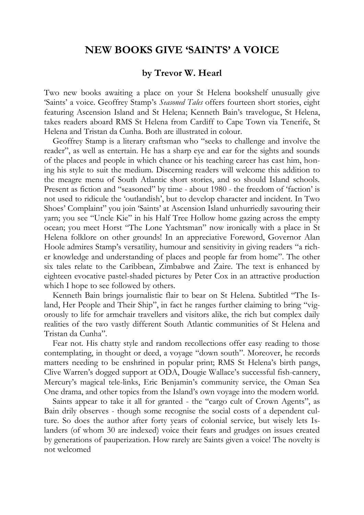## **NEW BOOKS GIVE 'SAINTS' A VOICE**

## **by Trevor W. Hearl**

Two new books awaiting a place on your St Helena bookshelf unusually give 'Saints' a voice. Geoffrey Stamp's *Seasoned Tales* offers fourteen short stories, eight featuring Ascension Island and St Helena; Kenneth Bain's travelogue, St Helena, takes readers aboard RMS St Helena from Cardiff to Cape Town via Tenerife, St Helena and Tristan da Cunha. Both are illustrated in colour.

Geoffrey Stamp is a literary craftsman who "seeks to challenge and involve the reader", as well as entertain. He has a sharp eye and ear for the sights and sounds of the places and people in which chance or his teaching career has cast him, honing his style to suit the medium. Discerning readers will welcome this addition to the meagre menu of South Atlantic short stories, and so should Island schools. Present as fiction and "seasoned" by time - about 1980 - the freedom of 'faction' is not used to ridicule the 'outlandish', but to develop character and incident. In Two Shoes' Complaint" you join 'Saints' at Ascension Island unhurriedly savouring their yarn; you see "Uncle Kie" in his Half Tree Hollow home gazing across the empty ocean; you meet Horst "The Lone Yachtsman" now ironically with a place in St Helena folklore on other grounds! In an appreciative Foreword, Governor Alan Hoole admires Stamp's versatility, humour and sensitivity in giving readers "a richer knowledge and understanding of places and people far from home". The other six tales relate to the Caribbean, Zimbabwe and Zaire. The text is enhanced by eighteen evocative pastel-shaded pictures by Peter Cox in an attractive production which I hope to see followed by others.

Kenneth Bain brings journalistic flair to bear on St Helena. Subtitled "The Island, Her People and Their Ship", in fact he ranges further claiming to bring "vigorously to life for armchair travellers and visitors alike, the rich but complex daily realities of the two vastly different South Atlantic communities of St Helena and Tristan da Cunha".

Fear not. His chatty style and random recollections offer easy reading to those contemplating, in thought or deed, a voyage "down south". Moreover, he records matters needing to be enshrined in popular print; RMS St Helena's birth pangs, Clive Warren's dogged support at ODA, Dougie Wallace's successful fish-cannery, Mercury's magical tele-links, Eric Benjamin's community service, the Oman Sea One drama, and other topics from the Island's own voyage into the modern world.

Saints appear to take it all for granted - the "cargo cult of Crown Agents", as Bain drily observes - though some recognise the social costs of a dependent culture. So does the author after forty years of colonial service, but wisely lets Islanders (of whom 30 are indexed) voice their fears and grudges on issues created by generations of pauperization. How rarely are Saints given a voice! The novelty is not welcomed